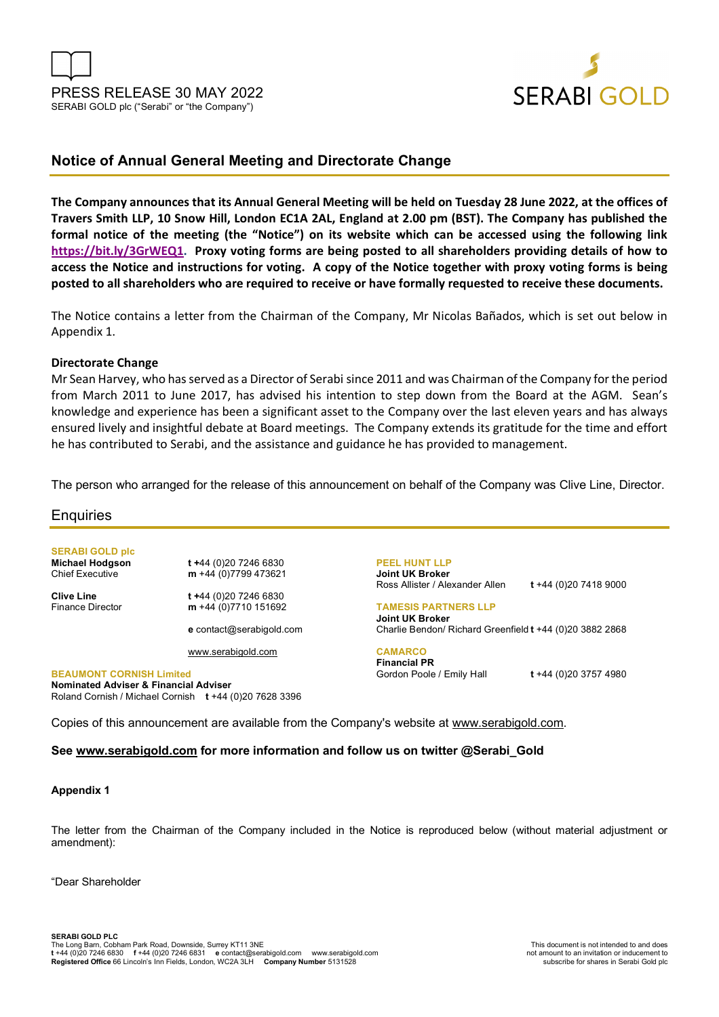



# **Notice of Annual General Meeting and Directorate Change**

**The Company announces that its Annual General Meeting will be held on Tuesday 28 June 2022, at the offices of Travers Smith LLP, 10 Snow Hill, London EC1A 2AL, England at 2.00 pm (BST). The Company has published the formal notice of the meeting (the "Notice") on its website which can be accessed using the following link https://bit.ly/3GrWEQ1. Proxy voting forms are being posted to all shareholders providing details of how to access the Notice and instructions for voting. A copy of the Notice together with proxy voting forms is being posted to all shareholders who are required to receive or have formally requested to receive these documents.** 

The Notice contains a letter from the Chairman of the Company, Mr Nicolas Bañados, which is set out below in Appendix 1.

# **Directorate Change**

Mr Sean Harvey, who has served as a Director of Serabi since 2011 and was Chairman of the Company for the period from March 2011 to June 2017, has advised his intention to step down from the Board at the AGM. Sean's knowledge and experience has been a significant asset to the Company over the last eleven years and has always ensured lively and insightful debate at Board meetings. The Company extends its gratitude for the time and effort he has contributed to Serabi, and the assistance and guidance he has provided to management.

The person who arranged for the release of this announcement on behalf of the Company was Clive Line, Director.

# **Enquiries**

**SERABI GOLD plc** 

**Michael Hodgson t +**44 (0)20 7246 6830 Chief Executive **m** +44 (0)7799 473621

**Clive Line** t +44 (0)20 7246 6830<br>Finance Director **m** +44 (0)7710 151692 m +44 (0)7710 151692

**e** contact@serabigold.com

www.serabigold.com

**BEAUMONT CORNISH Limited Nominated Adviser & Financial Adviser**  Roland Cornish / Michael Cornish **t** +44 (0)20 7628 3396 **PEEL HUNT LLP Joint UK Broker** Ross Allister / Alexander Allen **t** +44 (0)20 7418 9000

**TAMESIS PARTNERS LLP** 

**Joint UK Broker** Charlie Bendon/ Richard Greenfield **t** +44 (0)20 3882 2868

**CAMARCO Financial PR** Gordon Poole / Emily Hall **t** +44 (0)20 3757 4980

Copies of this announcement are available from the Company's website at www.serabigold.com.

# **See www.serabigold.com for more information and follow us on twitter @Serabi\_Gold**

# **Appendix 1**

The letter from the Chairman of the Company included in the Notice is reproduced below (without material adjustment or amendment):

"Dear Shareholder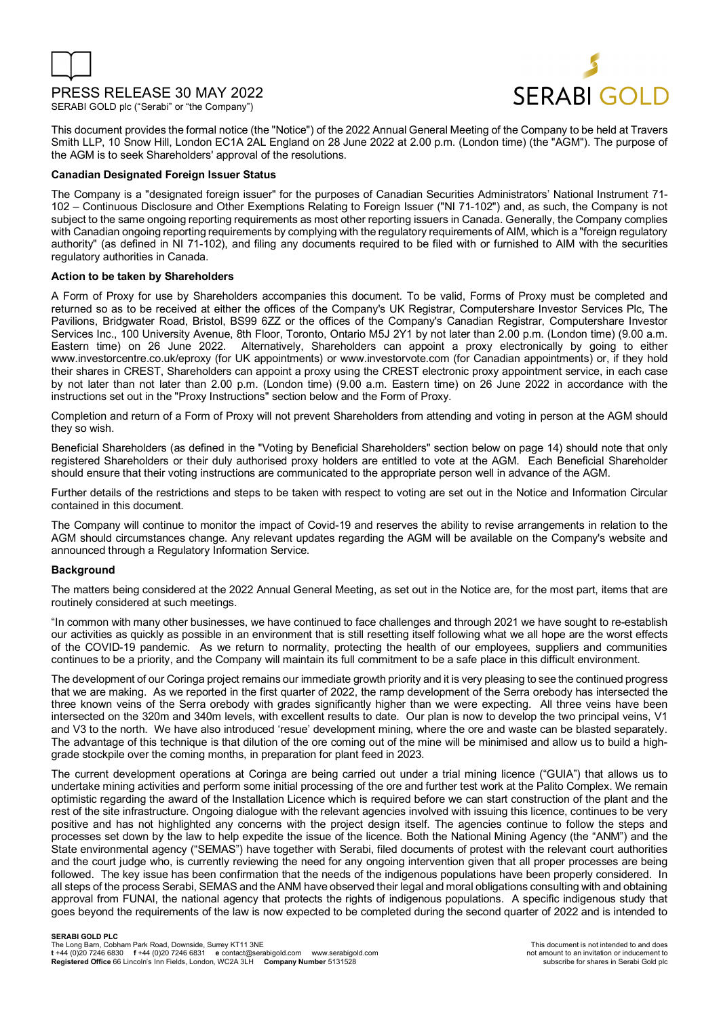

# PRESS RELEASE 30 MAY 2022

SERABI GOLD plc ("Serabi" or "the Company")



This document provides the formal notice (the "Notice") of the 2022 Annual General Meeting of the Company to be held at Travers Smith LLP, 10 Snow Hill, London EC1A 2AL England on 28 June 2022 at 2.00 p.m. (London time) (the "AGM"). The purpose of the AGM is to seek Shareholders' approval of the resolutions.

## **Canadian Designated Foreign Issuer Status**

The Company is a "designated foreign issuer" for the purposes of Canadian Securities Administrators' National Instrument 71- 102 – Continuous Disclosure and Other Exemptions Relating to Foreign Issuer ("NI 71-102") and, as such, the Company is not subject to the same ongoing reporting requirements as most other reporting issuers in Canada. Generally, the Company complies with Canadian ongoing reporting requirements by complying with the regulatory requirements of AIM, which is a "foreign regulatory authority" (as defined in NI 71-102), and filing any documents required to be filed with or furnished to AIM with the securities regulatory authorities in Canada.

## **Action to be taken by Shareholders**

A Form of Proxy for use by Shareholders accompanies this document. To be valid, Forms of Proxy must be completed and returned so as to be received at either the offices of the Company's UK Registrar, Computershare Investor Services Plc, The Pavilions, Bridgwater Road, Bristol, BS99 6ZZ or the offices of the Company's Canadian Registrar, Computershare Investor Services Inc., 100 University Avenue, 8th Floor, Toronto, Ontario M5J 2Y1 by not later than 2.00 p.m. (London time) (9.00 a.m. Eastern time) on 26 June 2022. Alternatively, Shareholders can appoint a proxy electronically by going to either www.investorcentre.co.uk/eproxy (for UK appointments) or www.investorvote.com (for Canadian appointments) or, if they hold their shares in CREST, Shareholders can appoint a proxy using the CREST electronic proxy appointment service, in each case by not later than not later than 2.00 p.m. (London time) (9.00 a.m. Eastern time) on 26 June 2022 in accordance with the instructions set out in the "Proxy Instructions" section below and the Form of Proxy.

Completion and return of a Form of Proxy will not prevent Shareholders from attending and voting in person at the AGM should they so wish.

Beneficial Shareholders (as defined in the "Voting by Beneficial Shareholders" section below on page 14) should note that only registered Shareholders or their duly authorised proxy holders are entitled to vote at the AGM. Each Beneficial Shareholder should ensure that their voting instructions are communicated to the appropriate person well in advance of the AGM.

Further details of the restrictions and steps to be taken with respect to voting are set out in the Notice and Information Circular contained in this document.

The Company will continue to monitor the impact of Covid-19 and reserves the ability to revise arrangements in relation to the AGM should circumstances change. Any relevant updates regarding the AGM will be available on the Company's website and announced through a Regulatory Information Service.

## **Background**

The matters being considered at the 2022 Annual General Meeting, as set out in the Notice are, for the most part, items that are routinely considered at such meetings.

"In common with many other businesses, we have continued to face challenges and through 2021 we have sought to re-establish our activities as quickly as possible in an environment that is still resetting itself following what we all hope are the worst effects of the COVID-19 pandemic. As we return to normality, protecting the health of our employees, suppliers and communities continues to be a priority, and the Company will maintain its full commitment to be a safe place in this difficult environment.

The development of our Coringa project remains our immediate growth priority and it is very pleasing to see the continued progress that we are making. As we reported in the first quarter of 2022, the ramp development of the Serra orebody has intersected the three known veins of the Serra orebody with grades significantly higher than we were expecting. All three veins have been intersected on the 320m and 340m levels, with excellent results to date. Our plan is now to develop the two principal veins, V1 and V3 to the north. We have also introduced 'resue' development mining, where the ore and waste can be blasted separately. The advantage of this technique is that dilution of the ore coming out of the mine will be minimised and allow us to build a highgrade stockpile over the coming months, in preparation for plant feed in 2023.

The current development operations at Coringa are being carried out under a trial mining licence ("GUIA") that allows us to undertake mining activities and perform some initial processing of the ore and further test work at the Palito Complex. We remain optimistic regarding the award of the Installation Licence which is required before we can start construction of the plant and the rest of the site infrastructure. Ongoing dialogue with the relevant agencies involved with issuing this licence, continues to be very positive and has not highlighted any concerns with the project design itself. The agencies continue to follow the steps and processes set down by the law to help expedite the issue of the licence. Both the National Mining Agency (the "ANM") and the State environmental agency ("SEMAS") have together with Serabi, filed documents of protest with the relevant court authorities and the court judge who, is currently reviewing the need for any ongoing intervention given that all proper processes are being followed. The key issue has been confirmation that the needs of the indigenous populations have been properly considered. In all steps of the process Serabi, SEMAS and the ANM have observed their legal and moral obligations consulting with and obtaining approval from FUNAI, the national agency that protects the rights of indigenous populations. A specific indigenous study that goes beyond the requirements of the law is now expected to be completed during the second quarter of 2022 and is intended to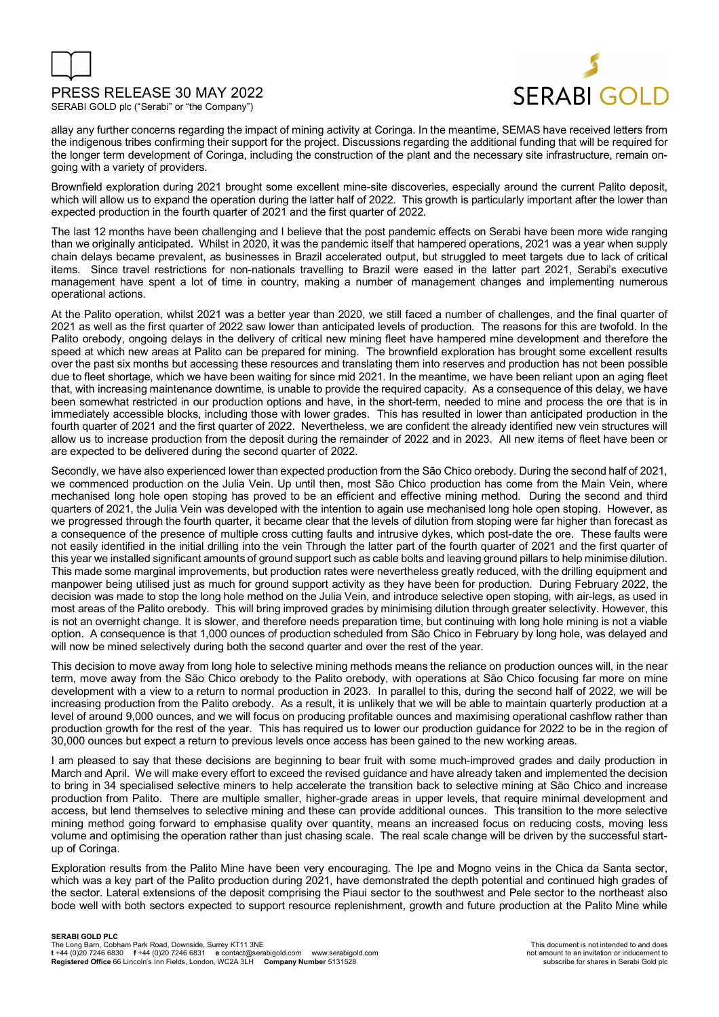

SERABI GOLD plc ("Serabi" or "the Company")



allay any further concerns regarding the impact of mining activity at Coringa. In the meantime, SEMAS have received letters from the indigenous tribes confirming their support for the project. Discussions regarding the additional funding that will be required for the longer term development of Coringa, including the construction of the plant and the necessary site infrastructure, remain ongoing with a variety of providers.

Brownfield exploration during 2021 brought some excellent mine-site discoveries, especially around the current Palito deposit, which will allow us to expand the operation during the latter half of 2022. This growth is particularly important after the lower than expected production in the fourth quarter of 2021 and the first quarter of 2022.

The last 12 months have been challenging and I believe that the post pandemic effects on Serabi have been more wide ranging than we originally anticipated. Whilst in 2020, it was the pandemic itself that hampered operations, 2021 was a year when supply chain delays became prevalent, as businesses in Brazil accelerated output, but struggled to meet targets due to lack of critical items. Since travel restrictions for non-nationals travelling to Brazil were eased in the latter part 2021, Serabi's executive management have spent a lot of time in country, making a number of management changes and implementing numerous operational actions.

At the Palito operation, whilst 2021 was a better year than 2020, we still faced a number of challenges, and the final quarter of 2021 as well as the first quarter of 2022 saw lower than anticipated levels of production. The reasons for this are twofold. In the Palito orebody, ongoing delays in the delivery of critical new mining fleet have hampered mine development and therefore the speed at which new areas at Palito can be prepared for mining. The brownfield exploration has brought some excellent results over the past six months but accessing these resources and translating them into reserves and production has not been possible due to fleet shortage, which we have been waiting for since mid 2021. In the meantime, we have been reliant upon an aging fleet that, with increasing maintenance downtime, is unable to provide the required capacity. As a consequence of this delay, we have been somewhat restricted in our production options and have, in the short-term, needed to mine and process the ore that is in immediately accessible blocks, including those with lower grades. This has resulted in lower than anticipated production in the fourth quarter of 2021 and the first quarter of 2022. Nevertheless, we are confident the already identified new vein structures will allow us to increase production from the deposit during the remainder of 2022 and in 2023. All new items of fleet have been or are expected to be delivered during the second quarter of 2022.

Secondly, we have also experienced lower than expected production from the São Chico orebody. During the second half of 2021, we commenced production on the Julia Vein. Up until then, most São Chico production has come from the Main Vein, where mechanised long hole open stoping has proved to be an efficient and effective mining method. During the second and third quarters of 2021, the Julia Vein was developed with the intention to again use mechanised long hole open stoping. However, as we progressed through the fourth quarter, it became clear that the levels of dilution from stoping were far higher than forecast as a consequence of the presence of multiple cross cutting faults and intrusive dykes, which post-date the ore. These faults were not easily identified in the initial drilling into the vein Through the latter part of the fourth quarter of 2021 and the first quarter of this year we installed significant amounts of ground support such as cable bolts and leaving ground pillars to help minimise dilution. This made some marginal improvements, but production rates were nevertheless greatly reduced, with the drilling equipment and manpower being utilised just as much for ground support activity as they have been for production. During February 2022, the decision was made to stop the long hole method on the Julia Vein, and introduce selective open stoping, with air-legs, as used in most areas of the Palito orebody. This will bring improved grades by minimising dilution through greater selectivity. However, this is not an overnight change. It is slower, and therefore needs preparation time, but continuing with long hole mining is not a viable option. A consequence is that 1,000 ounces of production scheduled from São Chico in February by long hole, was delayed and will now be mined selectively during both the second quarter and over the rest of the year.

This decision to move away from long hole to selective mining methods means the reliance on production ounces will, in the near term, move away from the São Chico orebody to the Palito orebody, with operations at São Chico focusing far more on mine development with a view to a return to normal production in 2023. In parallel to this, during the second half of 2022, we will be increasing production from the Palito orebody. As a result, it is unlikely that we will be able to maintain quarterly production at a level of around 9,000 ounces, and we will focus on producing profitable ounces and maximising operational cashflow rather than production growth for the rest of the year. This has required us to lower our production guidance for 2022 to be in the region of 30,000 ounces but expect a return to previous levels once access has been gained to the new working areas.

I am pleased to say that these decisions are beginning to bear fruit with some much-improved grades and daily production in March and April. We will make every effort to exceed the revised guidance and have already taken and implemented the decision to bring in 34 specialised selective miners to help accelerate the transition back to selective mining at São Chico and increase production from Palito. There are multiple smaller, higher-grade areas in upper levels, that require minimal development and access, but lend themselves to selective mining and these can provide additional ounces. This transition to the more selective mining method going forward to emphasise quality over quantity, means an increased focus on reducing costs, moving less volume and optimising the operation rather than just chasing scale. The real scale change will be driven by the successful startup of Coringa.

Exploration results from the Palito Mine have been very encouraging. The Ipe and Mogno veins in the Chica da Santa sector, which was a key part of the Palito production during 2021, have demonstrated the depth potential and continued high grades of the sector. Lateral extensions of the deposit comprising the Piaui sector to the southwest and Pele sector to the northeast also bode well with both sectors expected to support resource replenishment, growth and future production at the Palito Mine while